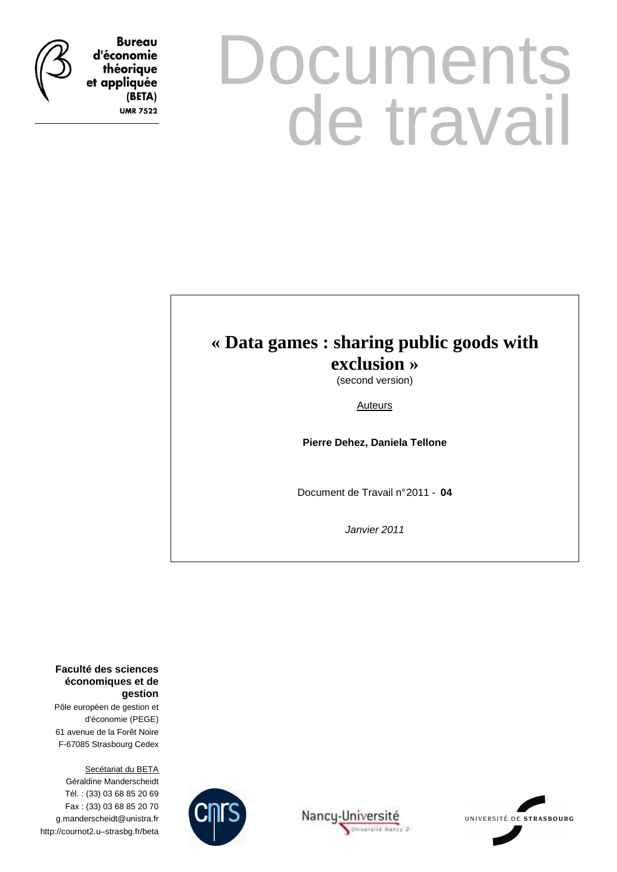

**Bureau** d'économie théorique et appliquée (BETA) **UMR 7522** 

# **Documents** de travail

## **« Data games : sharing public goods with**

**exclusion »** 

(second version)

Auteurs

**Pierre Dehez, Daniela Tellone** 

Document de Travail n° 2011 - **04**

Janvier 2011

**Faculté des sciences économiques et de gestion**

Pôle européen de gestion et d'économie (PEGE) 61 avenue de la Forêt Noire F-67085 Strasbourg Cedex

Secétariat du BETA Géraldine Manderscheidt Tél. : (33) 03 68 85 20 69 Fax : (33) 03 68 85 20 70 g.manderscheidt@unistra.fr http://cournot2.u–strasbg.fr/beta





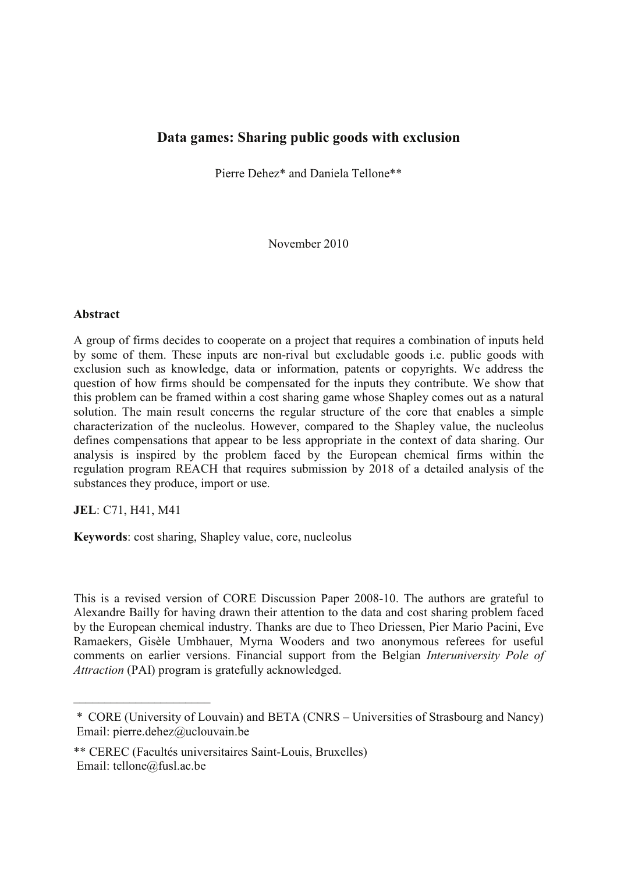#### **Data games: Sharing public goods with exclusion**

Pierre Dehez\* and Daniela Tellone\*\*

November 2010

#### **Abstract**

A group of firms decides to cooperate on a project that requires a combination of inputs held by some of them. These inputs are non-rival but excludable goods i.e. public goods with exclusion such as knowledge, data or information, patents or copyrights. We address the question of how firms should be compensated for the inputs they contribute. We show that this problem can be framed within a cost sharing game whose Shapley comes out as a natural solution. The main result concerns the regular structure of the core that enables a simple characterization of the nucleolus. However, compared to the Shapley value, the nucleolus defines compensations that appear to be less appropriate in the context of data sharing. Our analysis is inspired by the problem faced by the European chemical firms within the regulation program REACH that requires submission by 2018 of a detailed analysis of the substances they produce, import or use.

**JEL**: C71, H41, M41

 $\overline{\phantom{a}}$  , and the set of the set of the set of the set of the set of the set of the set of the set of the set of the set of the set of the set of the set of the set of the set of the set of the set of the set of the s

**Keywords**: cost sharing, Shapley value, core, nucleolus

This is a revised version of CORE Discussion Paper 2008-10. The authors are grateful to Alexandre Bailly for having drawn their attention to the data and cost sharing problem faced by the European chemical industry. Thanks are due to Theo Driessen, Pier Mario Pacini, Eve Ramaekers, Gisèle Umbhauer, Myrna Wooders and two anonymous referees for useful comments on earlier versions. Financial support from the Belgian *Interuniversity Pole of Attraction* (PAI) program is gratefully acknowledged.

<sup>\*</sup> CORE (University of Louvain) and BETA (CNRS – Universities of Strasbourg and Nancy) Email: pierre.dehez@uclouvain.be

<sup>\*\*</sup> CEREC (Facultés universitaires Saint-Louis, Bruxelles) Email: tellone@fusl.ac.be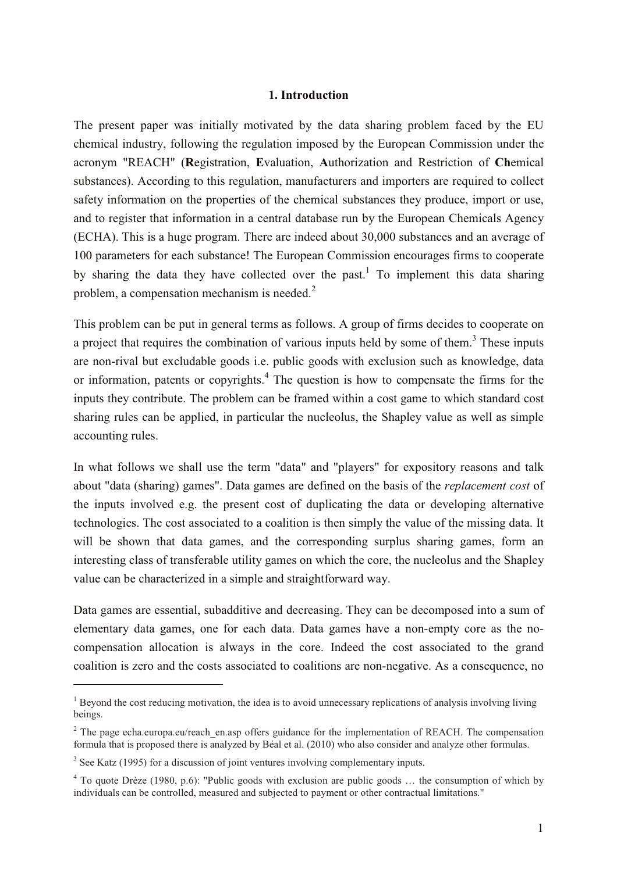#### **1. Introduction**

The present paper was initially motivated by the data sharing problem faced by the EU chemical industry, following the regulation imposed by the European Commission under the acronym "REACH" (**R**egistration, **E**valuation, **A**uthorization and Restriction of **Ch**emical substances). According to this regulation, manufacturers and importers are required to collect safety information on the properties of the chemical substances they produce, import or use, and to register that information in a central database run by the European Chemicals Agency (ECHA). This is a huge program. There are indeed about 30,000 substances and an average of 100 parameters for each substance! The European Commission encourages firms to cooperate by sharing the data they have collected over the past.<sup>1</sup> To implement this data sharing problem, a compensation mechanism is needed.<sup>2</sup>

This problem can be put in general terms as follows. A group of firms decides to cooperate on a project that requires the combination of various inputs held by some of them.<sup>3</sup> These inputs are non-rival but excludable goods i.e. public goods with exclusion such as knowledge, data or information, patents or copyrights.<sup>4</sup> The question is how to compensate the firms for the inputs they contribute. The problem can be framed within a cost game to which standard cost sharing rules can be applied, in particular the nucleolus, the Shapley value as well as simple accounting rules.

In what follows we shall use the term "data" and "players" for expository reasons and talk about "data (sharing) games". Data games are defined on the basis of the *replacement cost* of the inputs involved e.g. the present cost of duplicating the data or developing alternative technologies. The cost associated to a coalition is then simply the value of the missing data. It will be shown that data games, and the corresponding surplus sharing games, form an interesting class of transferable utility games on which the core, the nucleolus and the Shapley value can be characterized in a simple and straightforward way.

Data games are essential, subadditive and decreasing. They can be decomposed into a sum of elementary data games, one for each data. Data games have a non-empty core as the nocompensation allocation is always in the core. Indeed the cost associated to the grand coalition is zero and the costs associated to coalitions are non-negative. As a consequence, no

 $1$  Beyond the cost reducing motivation, the idea is to avoid unnecessary replications of analysis involving living beings.

<sup>&</sup>lt;sup>2</sup> The page echa.europa.eu/reach en.asp offers guidance for the implementation of REACH. The compensation formula that is proposed there is analyzed by Béal et al. (2010) who also consider and analyze other formulas.

 $3$  See Katz (1995) for a discussion of joint ventures involving complementary inputs.

<sup>&</sup>lt;sup>4</sup> To quote Drèze (1980, p.6): "Public goods with exclusion are public goods ... the consumption of which by individuals can be controlled, measured and subjected to payment or other contractual limitations."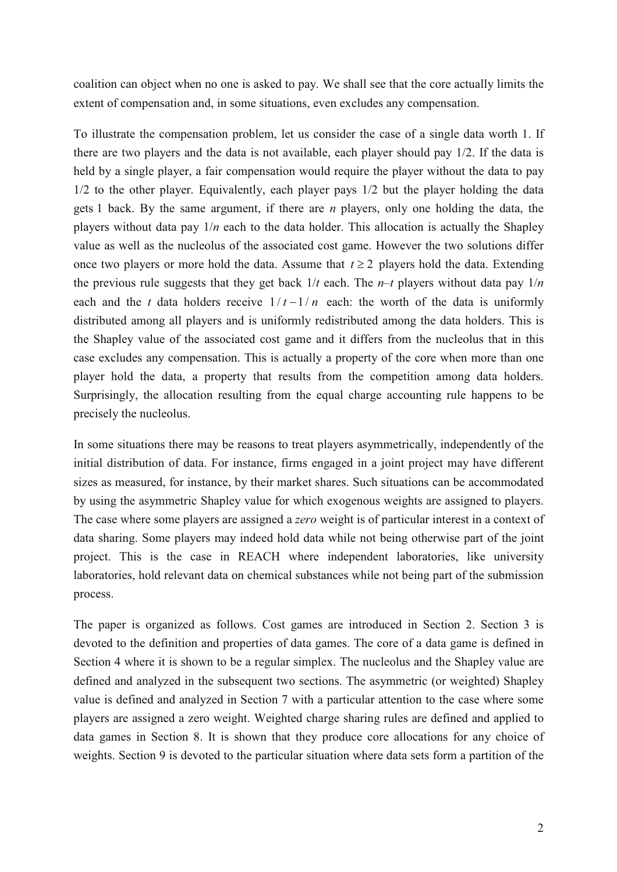coalition can object when no one is asked to pay. We shall see that the core actually limits the extent of compensation and, in some situations, even excludes any compensation.

To illustrate the compensation problem, let us consider the case of a single data worth 1. If there are two players and the data is not available, each player should pay 1/2. If the data is held by a single player, a fair compensation would require the player without the data to pay 1/2 to the other player. Equivalently, each player pays 1/2 but the player holding the data gets 1 back. By the same argument, if there are *n* players, only one holding the data, the players without data pay  $1/n$  each to the data holder. This allocation is actually the Shapley value as well as the nucleolus of the associated cost game. However the two solutions differ once two players or more hold the data. Assume that  $t \geq 2$  players hold the data. Extending the previous rule suggests that they get back  $1/t$  each. The  $n-t$  players without data pay  $1/n$ each and the *t* data holders receive  $1/t - 1/n$  each: the worth of the data is uniformly distributed among all players and is uniformly redistributed among the data holders. This is the Shapley value of the associated cost game and it differs from the nucleolus that in this case excludes any compensation. This is actually a property of the core when more than one player hold the data, a property that results from the competition among data holders. Surprisingly, the allocation resulting from the equal charge accounting rule happens to be precisely the nucleolus.

In some situations there may be reasons to treat players asymmetrically, independently of the initial distribution of data. For instance, firms engaged in a joint project may have different sizes as measured, for instance, by their market shares. Such situations can be accommodated by using the asymmetric Shapley value for which exogenous weights are assigned to players. The case where some players are assigned a *zero* weight is of particular interest in a context of data sharing. Some players may indeed hold data while not being otherwise part of the joint project. This is the case in REACH where independent laboratories, like university laboratories, hold relevant data on chemical substances while not being part of the submission process.

The paper is organized as follows. Cost games are introduced in Section 2. Section 3 is devoted to the definition and properties of data games. The core of a data game is defined in Section 4 where it is shown to be a regular simplex. The nucleolus and the Shapley value are defined and analyzed in the subsequent two sections. The asymmetric (or weighted) Shapley value is defined and analyzed in Section 7 with a particular attention to the case where some players are assigned a zero weight. Weighted charge sharing rules are defined and applied to data games in Section 8. It is shown that they produce core allocations for any choice of weights. Section 9 is devoted to the particular situation where data sets form a partition of the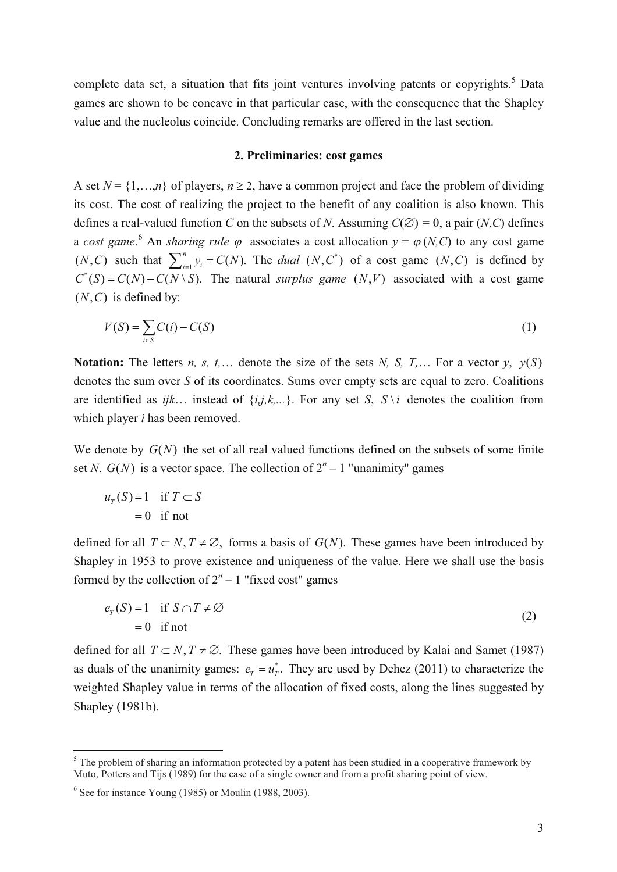complete data set, a situation that fits joint ventures involving patents or copyrights.<sup>5</sup> Data games are shown to be concave in that particular case, with the consequence that the Shapley value and the nucleolus coincide. Concluding remarks are offered in the last section.

#### **2. Preliminaries: cost games**

A set  $N = \{1, \ldots, n\}$  of players,  $n \ge 2$ , have a common project and face the problem of dividing its cost. The cost of realizing the project to the benefit of any coalition is also known. This defines a real-valued function *C* on the subsets of *N*. Assuming  $C(\emptyset) = 0$ , a pair (*N,C*) defines a *cost* game.<sup>6</sup> An *sharing rule*  $\varphi$  associates a cost allocation  $y = \varphi(N, C)$  to any cost game  $(N, C)$  such that  $\sum_{i=1}^{n} y_i = C(N)$ . The *dual*  $(N, C^*)$  of a cost game  $(N, C)$  is defined by  $C^*(S) = C(N) - C(N \setminus S)$ . The natural *surplus game*  $(N, V)$  associated with a cost game  $(N, C)$  is defined by:

$$
V(S) = \sum_{i \in S} C(i) - C(S) \tag{1}
$$

**Notation:** The letters *n, s, t,...* denote the size of the sets *N, S, T,...* For a vector *y,*  $y(S)$ denotes the sum over *S* of its coordinates. Sums over empty sets are equal to zero. Coalitions are identified as  $ijk...$  instead of  $\{i,j,k,...\}$ . For any set *S*,  $S \setminus i$  denotes the coalition from which player *i* has been removed.

We denote by  $G(N)$  the set of all real valued functions defined on the subsets of some finite set *N*.  $G(N)$  is a vector space. The collection of  $2^n - 1$  "unanimity" games

$$
uT(S) = 1 \text{ if } T \subset S
$$
  
= 0 if not

defined for all  $T \subset N$ ,  $T \neq \emptyset$ , forms a basis of  $G(N)$ . These games have been introduced by Shapley in 1953 to prove existence and uniqueness of the value. Here we shall use the basis formed by the collection of  $2^n - 1$  "fixed cost" games

$$
e_T(S) = 1 \quad \text{if } S \cap T \neq \emptyset
$$
  
= 0 \quad \text{if not} \tag{2}

defined for all  $T \subset N$ ,  $T \neq \emptyset$ . These games have been introduced by Kalai and Samet (1987) as duals of the unanimity games:  $e_T = u_T^*$ . They are used by Dehez (2011) to characterize the weighted Shapley value in terms of the allocation of fixed costs, along the lines suggested by Shapley (1981b).

 $<sup>5</sup>$  The problem of sharing an information protected by a patent has been studied in a cooperative framework by</sup> Muto, Potters and Tijs (1989) for the case of a single owner and from a profit sharing point of view.

 $6$  See for instance Young (1985) or Moulin (1988, 2003).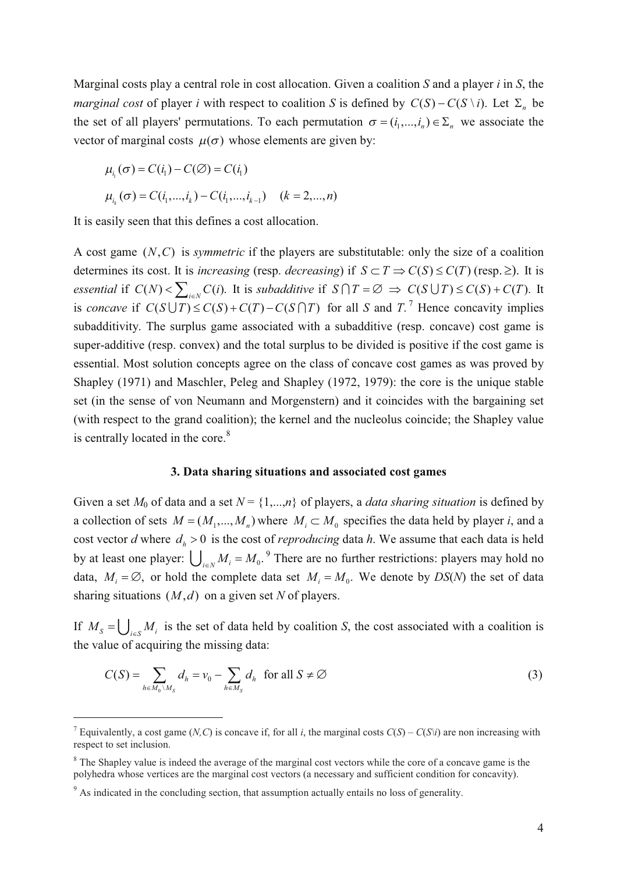Marginal costs play a central role in cost allocation. Given a coalition *S* and a player *i* in *S*, the *marginal cost* of player *i* with respect to coalition *S* is defined by  $C(S) - C(S \setminus i)$ . Let  $\Sigma_n$  be the set of all players' permutations. To each permutation  $\sigma = (i_1, ..., i_n) \in \Sigma_n$  we associate the vector of marginal costs  $\mu(\sigma)$  whose elements are given by:

$$
\mu_{i_1}(\sigma) = C(i_1) - C(\emptyset) = C(i_1)
$$
  

$$
\mu_{i_k}(\sigma) = C(i_1, ..., i_k) - C(i_1, ..., i_{k-1}) \quad (k = 2, ..., n)
$$

It is easily seen that this defines a cost allocation.

A cost game  $(N, C)$  is *symmetric* if the players are substitutable: only the size of a coalition determines its cost. It is *increasing* (resp. *decreasing*) if  $S \subset T \Rightarrow C(S) \leq C(T)$  (resp.  $\geq$ ). It is *essential* if  $C(N) < \sum_{i \in N} C(i)$ . It is *subadditive* if  $S \cap T = \emptyset \Rightarrow C(S \cup T) \leq C(S) + C(T)$ . It is *concave* if  $C(S \cup T) \leq C(S) + C(T) - C(S \cap T)$  for all *S* and *T*.<sup>7</sup> Hence concavity implies subadditivity. The surplus game associated with a subadditive (resp. concave) cost game is super-additive (resp. convex) and the total surplus to be divided is positive if the cost game is essential. Most solution concepts agree on the class of concave cost games as was proved by Shapley (1971) and Maschler, Peleg and Shapley (1972, 1979): the core is the unique stable set (in the sense of von Neumann and Morgenstern) and it coincides with the bargaining set (with respect to the grand coalition); the kernel and the nucleolus coincide; the Shapley value is centrally located in the core.<sup>8</sup>

#### **3. Data sharing situations and associated cost games**

Given a set  $M_0$  of data and a set  $N = \{1,...,n\}$  of players, a *data sharing situation* is defined by a collection of sets  $M = (M_1, ..., M_n)$  where  $M_i \subset M_0$  specifies the data held by player *i*, and a cost vector *d* where  $d_h > 0$  is the cost of *reproducing* data *h*. We assume that each data is held by at least one player:  $\bigcup_{i \in N} M_i = M_0$ .<sup>9</sup> There are no further restrictions: players may hold no data,  $M_i = \emptyset$ , or hold the complete data set  $M_i = M_0$ . We denote by  $DS(N)$  the set of data sharing situations  $(M, d)$  on a given set N of players.

If  $M_s = \bigcup_{i \in S} M_i$  is the set of data held by coalition *S*, the cost associated with a coalition is the value of acquiring the missing data:

$$
C(S) = \sum_{h \in M_0 \setminus M_S} d_h = v_0 - \sum_{h \in M_S} d_h \text{ for all } S \neq \emptyset
$$
 (3)

<sup>&</sup>lt;sup>7</sup> Equivalently, a cost game (*N,C*) is concave if, for all *i*, the marginal costs  $C(S) - C(S|i)$  are non increasing with respect to set inclusion.

<sup>&</sup>lt;sup>8</sup> The Shapley value is indeed the average of the marginal cost vectors while the core of a concave game is the polyhedra whose vertices are the marginal cost vectors (a necessary and sufficient condition for concavity).

<sup>&</sup>lt;sup>9</sup> As indicated in the concluding section, that assumption actually entails no loss of generality.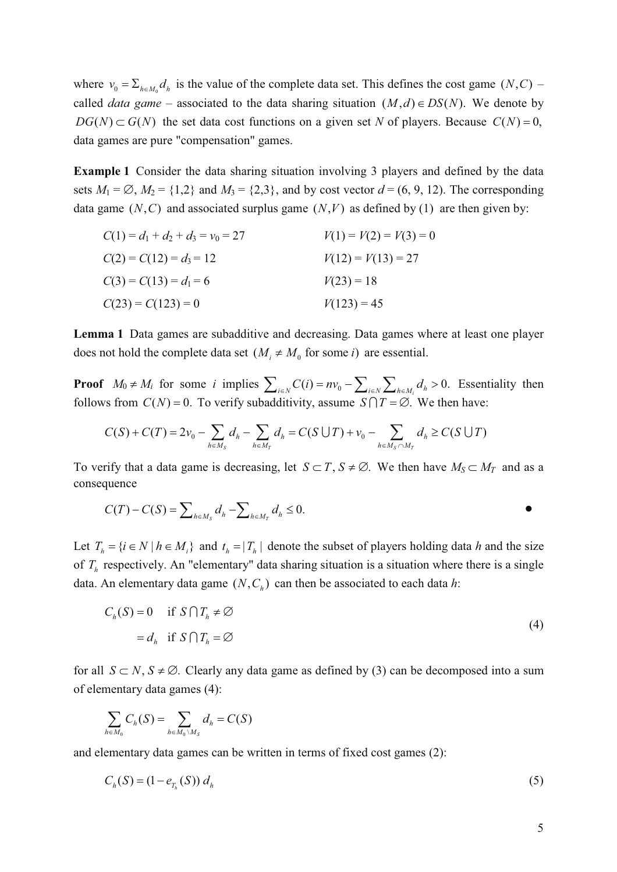where  $v_0 = \sum_{h \in M_0} d_h$  is the value of the complete data set. This defines the cost game  $(N, C)$  – called *data game* – associated to the data sharing situation  $(M,d) \in DS(N)$ . We denote by  $DG(N) \subset G(N)$  the set data cost functions on a given set *N* of players. Because  $C(N) = 0$ , data games are pure "compensation" games.

**Example 1** Consider the data sharing situation involving 3 players and defined by the data sets  $M_1 = \emptyset$ ,  $M_2 = \{1,2\}$  and  $M_3 = \{2,3\}$ , and by cost vector  $d = (6, 9, 12)$ . The corresponding data game  $(N, C)$  and associated surplus game  $(N, V)$  as defined by (1) are then given by:

| $C(1) = d_1 + d_2 + d_3 = v_0 = 27$ | $V(1) = V(2) = V(3) = 0$ |
|-------------------------------------|--------------------------|
| $C(2) = C(12) = d_3 = 12$           | $V(12) = V(13) = 27$     |
| $C(3) = C(13) = d_1 = 6$            | $V(23) = 18$             |
| $C(23) = C(123) = 0$                | $V(123) = 45$            |

**Lemma 1** Data games are subadditive and decreasing. Data games where at least one player does not hold the complete data set  $(M_i \neq M_0$  for some *i*) are essential.

**Proof**  $M_0 \neq M_i$  for some *i* implies  $\sum_{i \in N} C(i) = n v_0 - \sum_{i \in N} \sum_{h \in M_i} d_h > 0$ . Essentiality then follows from  $C(N) = 0$ . To verify subadditivity, assume  $S \cap T = \emptyset$ . We then have:

$$
C(S) + C(T) = 2v_0 - \sum_{h \in M_S} d_h - \sum_{h \in M_T} d_h = C(S \cup T) + v_0 - \sum_{h \in M_S \cap M_T} d_h \ge C(S \cup T)
$$

To verify that a data game is decreasing, let  $S \subset T$ ,  $S \neq \emptyset$ . We then have  $M_S \subset M_T$  and as a consequence

$$
C(T) - C(S) = \sum_{h \in M_S} d_h - \sum_{h \in M_T} d_h \le 0.
$$

Let  $T_h = \{ i \in N \mid h \in M_i \}$  and  $t_h = |T_h|$  denote the subset of players holding data *h* and the size of *T<sup>h</sup>* respectively. An "elementary" data sharing situation is a situation where there is a single data. An elementary data game  $(N, C_h)$  can then be associated to each data *h*:

$$
C_h(S) = 0 \quad \text{if } S \cap T_h \neq \emptyset
$$
  
=  $d_h$  if  $S \cap T_h = \emptyset$  (4)

for all  $S \subset N$ ,  $S \neq \emptyset$ . Clearly any data game as defined by (3) can be decomposed into a sum of elementary data games (4):

$$
\sum_{h \in M_0} C_h(S) = \sum_{h \in M_0 \setminus M_S} d_h = C(S)
$$

and elementary data games can be written in terms of fixed cost games (2):

$$
C_h(S) = (1 - e_{T_h}(S)) d_h
$$
 (5)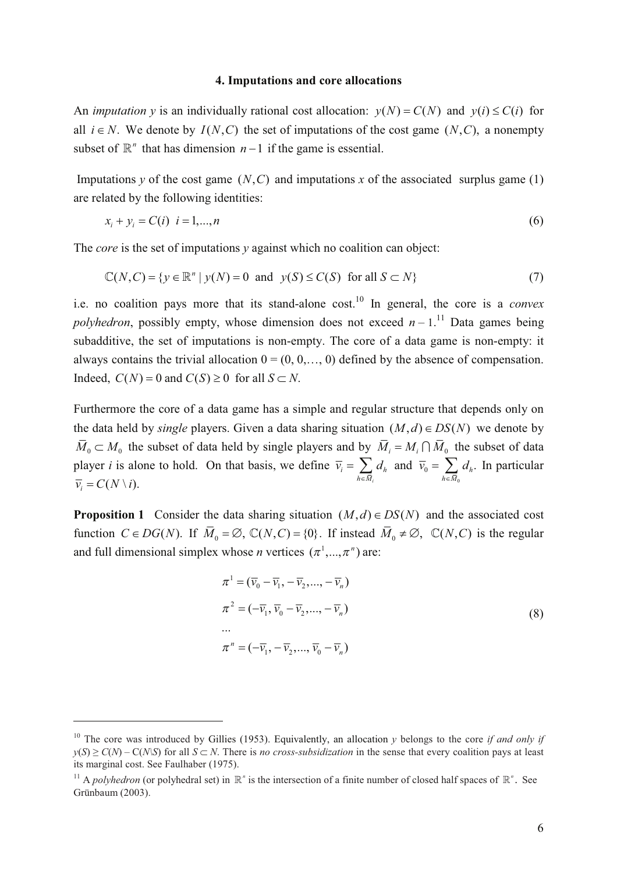#### **4. Imputations and core allocations**

An *imputation y* is an individually rational cost allocation:  $v(N) = C(N)$  and  $v(i) \leq C(i)$  for all  $i \in N$ . We denote by  $I(N, C)$  the set of imputations of the cost game  $(N, C)$ , a nonempty subset of  $\mathbb{R}^n$  that has dimension  $n-1$  if the game is essential.

Imputations *y* of the cost game  $(N, C)$  and imputations *x* of the associated surplus game (1) are related by the following identities:

$$
x_i + y_i = C(i) \quad i = 1,...,n
$$
 (6)

The *core* is the set of imputations *y* against which no coalition can object:

$$
\mathbb{C}(N, C) = \{ y \in \mathbb{R}^n \mid y(N) = 0 \text{ and } y(S) \le C(S) \text{ for all } S \subset N \}
$$
 (7)

i.e. no coalition pays more that its stand-alone cost.<sup>10</sup> In general, the core is a *convex polyhedron*, possibly empty, whose dimension does not exceed  $n-1$ .<sup>11</sup> Data games being subadditive, the set of imputations is non-empty. The core of a data game is non-empty: it always contains the trivial allocation  $0 = (0, 0, \ldots, 0)$  defined by the absence of compensation. Indeed,  $C(N) = 0$  and  $C(S) \ge 0$  for all  $S \subset N$ .

Furthermore the core of a data game has a simple and regular structure that depends only on the data held by *single* players. Given a data sharing situation  $(M, d) \in DS(N)$  we denote by  $\bar{M}_0 \subset M_0$  the subset of data held by single players and by  $\bar{M}_i = M_i \cap \bar{M}_0$  the subset of data player *i* is alone to hold. On that basis, we define 0 and  $\overline{v}_0 = \sum d_h$ . *i*  $v_i - \sum u_h$  and  $v_0 - \sum u_h$  $h \in M_i$   $h \in M$  $\overline{v}_i = \sum d_h$  and  $\overline{v}_0 = \sum d_h$  $=\sum_{h\in \overline{M}_i} d_h$  and  $\overline{v}_0 = \sum_{h\in \overline{M}_0} d_h$ . In particular  $\overline{v_i} = C(N \setminus i).$ 

**Proposition 1** Consider the data sharing situation  $(M,d) \in DS(N)$  and the associated cost function  $C \in DG(N)$ . If  $\overline{M}_0 = \emptyset$ ,  $\mathbb{C}(N, C) = \{0\}$ . If instead  $\overline{M}_0 \neq \emptyset$ ,  $\mathbb{C}(N, C)$  is the regular and full dimensional simplex whose *n* vertices  $(\pi^1, ..., \pi^n)$  are:

$$
\pi^{1} = (\overline{\nu}_{0} - \overline{\nu}_{1}, -\overline{\nu}_{2}, ..., -\overline{\nu}_{n})
$$
  
\n
$$
\pi^{2} = (-\overline{\nu}_{1}, \overline{\nu}_{0} - \overline{\nu}_{2}, ..., -\overline{\nu}_{n})
$$
  
\n...  
\n
$$
\pi^{n} = (-\overline{\nu}_{1}, -\overline{\nu}_{2}, ..., \overline{\nu}_{0} - \overline{\nu}_{n})
$$
\n(8)

<sup>&</sup>lt;sup>10</sup> The core was introduced by Gillies (1953). Equivalently, an allocation *y* belongs to the core *if and only if*  $y(S) \ge C(N) - C(N|S)$  for all  $S \subset N$ . There is *no cross-subsidization* in the sense that every coalition pays at least its marginal cost. See Faulhaber (1975).

<sup>&</sup>lt;sup>11</sup> A *polyhedron* (or polyhedral set) in  $\mathbb{R}^n$  is the intersection of a finite number of closed half spaces of  $\mathbb{R}^n$ . See Grünbaum (2003).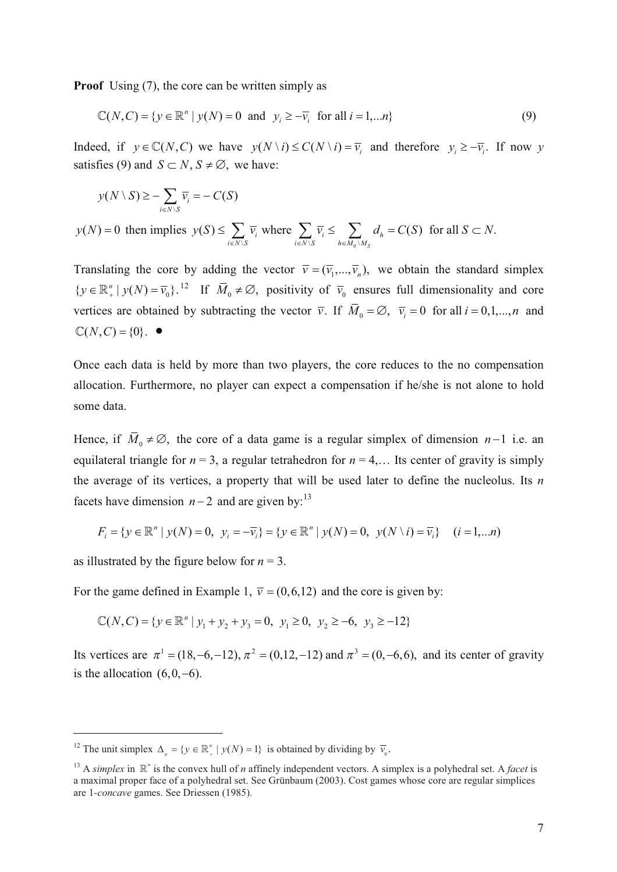**Proof** Using (7), the core can be written simply as

$$
\mathbb{C}(N, C) = \{ y \in \mathbb{R}^n \mid y(N) = 0 \text{ and } y_i \ge -\overline{v}_i \text{ for all } i = 1, \dots n \}
$$
(9)

Indeed, if  $y \in \mathbb{C}(N, C)$  we have  $y(N \setminus i) \le C(N \setminus i) = \overline{v}_i$  and therefore  $y_i \ge -\overline{v}_i$ . If now y satisfies (9) and  $S \subset N$ ,  $S \neq \emptyset$ , we have:

$$
y(N \setminus S) \ge -\sum_{i \in N \setminus S} \overline{v_i} = -C(S)
$$

 $y(N) = 0$  then implies  $\setminus S$   $i \in N \setminus S$   $h \in M_0 \setminus N$  $(S) \leq \sum_i \overline{v}_i$  where  $\sum_i \overline{v}_i \leq \sum_i d_h = C(S)$  for all  $S \subset N$ . *S i* where  $\sum_{i} v_i = \sum_{i} u_i$  $i \in N \setminus S$   $i \in N \setminus S$   $h \in M_0 \setminus M$  $y(S) \leq \sum \overline{v_i}$  where  $\sum \overline{v_i} \leq \sum d_h = C(S)$  for all  $S \subset N$  $\leq \sum_{i \in N \setminus S} \overline{v_i}$  where  $\sum_{i \in N \setminus S} \overline{v_i} \leq \sum_{h \in M_0 \setminus M_S} d_h = C(S)$  for all  $S \subset$ 

Translating the core by adding the vector  $\overline{v} = (\overline{v}_1, ..., \overline{v}_n)$ , we obtain the standard simplex  $\{y \in \mathbb{R}^n_+ \mid y(N) = \overline{v}_0\}$ .<sup>12</sup> If  $\overline{M}_0 \neq \emptyset$ , positivity of  $\overline{v}_0$  ensures full dimensionality and core vertices are obtained by subtracting the vector  $\overline{v}$ . If  $M_0 = \emptyset$ ,  $\overline{v}_i = 0$  for all  $i = 0,1,...,n$  and  $\mathbb{C}(N, C) = \{0\}$ .  $\bullet$ 

Once each data is held by more than two players, the core reduces to the no compensation allocation. Furthermore, no player can expect a compensation if he/she is not alone to hold some data.

Hence, if  $\overline{M}_0 \neq \emptyset$ , the core of a data game is a regular simplex of dimension *n*-1 i.e. an equilateral triangle for  $n = 3$ , a regular tetrahedron for  $n = 4,...$  Its center of gravity is simply the average of its vertices, a property that will be used later to define the nucleolus. Its *n* facets have dimension  $n-2$  and are given by:<sup>13</sup>

$$
F_i = \{ y \in \mathbb{R}^n \mid y(N) = 0, \ y_i = -\overline{v_i} \} = \{ y \in \mathbb{R}^n \mid y(N) = 0, \ y(N \setminus i) = \overline{v_i} \} \quad (i = 1, \dots n)
$$

as illustrated by the figure below for  $n = 3$ .

For the game defined in Example 1,  $\bar{v} = (0,6,12)$  and the core is given by:

$$
\mathbb{C}(N, C) = \{ y \in \mathbb{R}^n \mid y_1 + y_2 + y_3 = 0, y_1 \ge 0, y_2 \ge -6, y_3 \ge -12 \}
$$

Its vertices are  $\pi^1 = (18, -6, -12)$ ,  $\pi^2 = (0, 12, -12)$  and  $\pi^3 = (0, -6, 6)$ , and its center of gravity is the allocation  $(6,0,-6)$ .

<sup>&</sup>lt;sup>12</sup> The unit simplex  $\Delta_n = \{ y \in \mathbb{R}^n_+ \mid y(N) = 1 \}$  is obtained by dividing by  $\overline{v}_0$ .

<sup>&</sup>lt;sup>13</sup> A *simplex* in  $\mathbb{R}^n$  is the convex hull of *n* affinely independent vectors. A simplex is a polyhedral set. A *facet* is a maximal proper face of a polyhedral set. See Grünbaum (2003). Cost games whose core are regular simplices are 1*-concave* games. See Driessen (1985).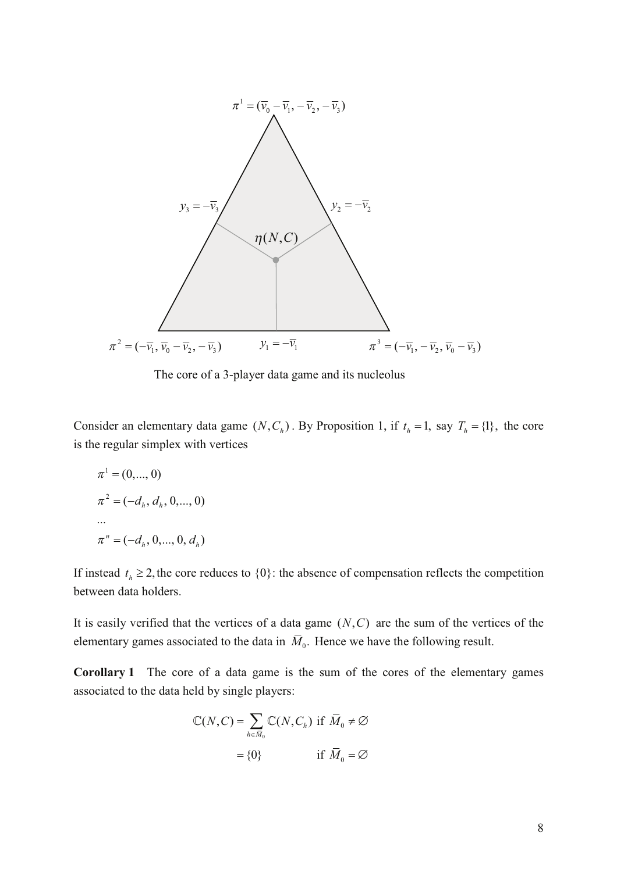

The core of a 3-player data game and its nucleolus

Consider an elementary data game  $(N, C_h)$ . By Proposition 1, if  $t_h = 1$ , say  $T_h = \{1\}$ , the core is the regular simplex with vertices

$$
\pi^{1} = (0, ..., 0)
$$
  
\n
$$
\pi^{2} = (-d_{h}, d_{h}, 0, ..., 0)
$$
  
\n...  
\n
$$
\pi^{n} = (-d_{h}, 0, ..., 0, d_{h})
$$

If instead  $t_h \geq 2$ , the core reduces to  $\{0\}$ : the absence of compensation reflects the competition between data holders.

It is easily verified that the vertices of a data game  $(N, C)$  are the sum of the vertices of the elementary games associated to the data in  $\overline{M}_0$ . Hence we have the following result.

**Corollary 1** The core of a data game is the sum of the cores of the elementary games associated to the data held by single players:

$$
\mathbb{C}(N, C) = \sum_{h \in \overline{M}_0} \mathbb{C}(N, C_h) \text{ if } \overline{M}_0 \neq \emptyset
$$

$$
= \{0\} \quad \text{if } \overline{M}_0 = \emptyset
$$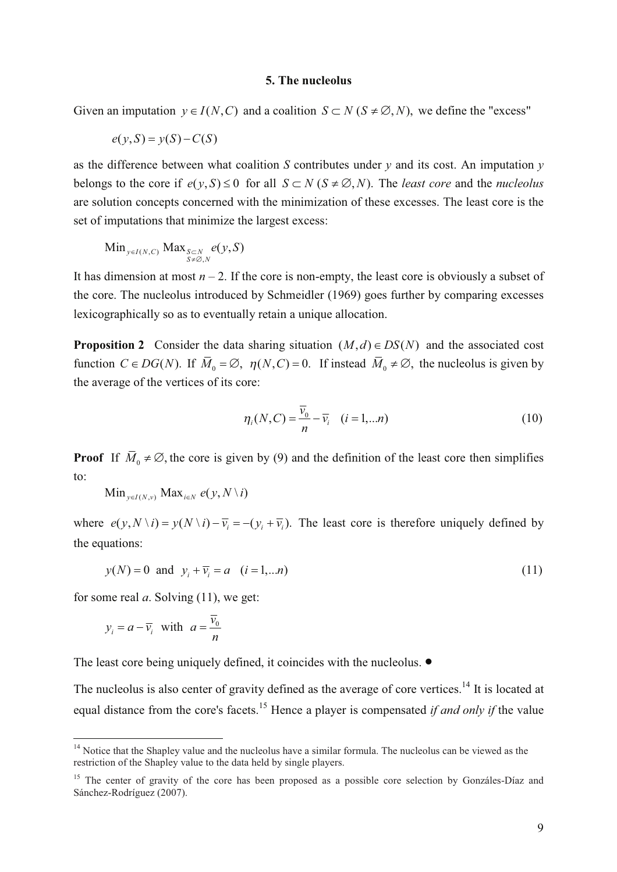#### **5. The nucleolus**

Given an imputation  $y \in I(N, C)$  and a coalition  $S \subset N$  ( $S \neq \emptyset, N$ ), we define the "excess"

$$
e(y, S) = y(S) - C(S)
$$

as the difference between what coalition *S* contributes under  $\nu$  and its cost. An imputation  $\nu$ belongs to the core if  $e(y, S) \le 0$  for all  $S \subset N$  ( $S \ne \emptyset, N$ ). The *least core* and the *nucleolus* are solution concepts concerned with the minimization of these excesses. The least core is the set of imputations that minimize the largest excess:

$$
\operatorname{Min}_{y \in I(N, C)} \operatorname{Max}_{\substack{S \subset N \\ S \neq \emptyset, N}} e(y, S)
$$

It has dimension at most  $n-2$ . If the core is non-empty, the least core is obviously a subset of the core. The nucleolus introduced by Schmeidler (1969) goes further by comparing excesses lexicographically so as to eventually retain a unique allocation.

**Proposition 2** Consider the data sharing situation  $(M,d) \in DS(N)$  and the associated cost function  $C \in DG(N)$ . If  $M_0 = \emptyset$ ,  $\eta(N, C) = 0$ . If instead  $M_0 \neq \emptyset$ , the nucleolus is given by the average of the vertices of its core:

$$
\eta_i(N, C) = \frac{\overline{v}_0}{n} - \overline{v}_i \quad (i = 1, \dots n)
$$
\n(10)

**Proof** If  $\overline{M}_0 \neq \emptyset$ , the core is given by (9) and the definition of the least core then simplifies to:

 $\text{Min}_{y \in I(N, y)} \text{Max}_{i \in N} e(y, N \setminus i)$ 

where  $e(y, N \setminus i) = y(N \setminus i) - \overline{y_i} = -(y_i + \overline{y_i})$ . The least core is therefore uniquely defined by the equations:

$$
y(N) = 0
$$
 and  $y_i + \overline{y_i} = a$   $(i = 1,...n)$  (11)

for some real *a*. Solving (11), we get:

$$
y_i = a - \overline{v_i}
$$
 with  $a = \frac{\overline{v_0}}{n}$ 

The least core being uniquely defined, it coincides with the nucleolus.  $\bullet$ 

The nucleolus is also center of gravity defined as the average of core vertices.<sup>14</sup> It is located at equal distance from the core's facets.<sup>15</sup> Hence a player is compensated *if and only if* the value

<sup>&</sup>lt;sup>14</sup> Notice that the Shapley value and the nucleolus have a similar formula. The nucleolus can be viewed as the restriction of the Shapley value to the data held by single players.

<sup>&</sup>lt;sup>15</sup> The center of gravity of the core has been proposed as a possible core selection by Gonzáles-Díaz and Sánchez-Rodríguez (2007).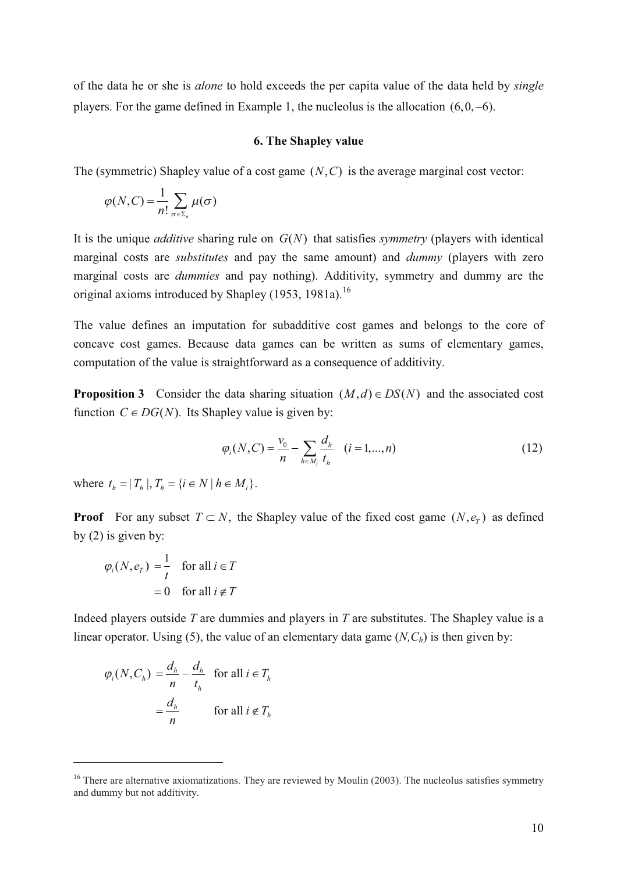of the data he or she is *alone* to hold exceeds the per capita value of the data held by *single* players. For the game defined in Example 1, the nucleolus is the allocation  $(6, 0, -6)$ .

#### **6. The Shapley value**

The (symmetric) Shapley value of a cost game  $(N, C)$  is the average marginal cost vector:

$$
\varphi(N,C) = \frac{1}{n!} \sum_{\sigma \in \Sigma_n} \mu(\sigma)
$$

It is the unique *additive* sharing rule on  $G(N)$  that satisfies *symmetry* (players with identical marginal costs are *substitutes* and pay the same amount) and *dummy* (players with zero marginal costs are *dummies* and pay nothing). Additivity, symmetry and dummy are the original axioms introduced by Shapley  $(1953, 1981a)^{16}$ 

The value defines an imputation for subadditive cost games and belongs to the core of concave cost games. Because data games can be written as sums of elementary games, computation of the value is straightforward as a consequence of additivity.

**Proposition 3** Consider the data sharing situation  $(M,d) \in DS(N)$  and the associated cost function  $C \in DG(N)$ . Its Shapley value is given by:

$$
\varphi_i(N, C) = \frac{\nu_0}{n} - \sum_{h \in M_i} \frac{d_h}{t_h} \quad (i = 1, ..., n)
$$
\n(12)

where  $t_{i} = |T_{i}|$ ,  $T_{i} = \{i \in N | h \in M_{i}\}.$ 

**Proof** For any subset  $T \subset N$ , the Shapley value of the fixed cost game  $(N, e_T)$  as defined by (2) is given by:

$$
\varphi_i(N, e_T) = \frac{1}{t} \quad \text{for all } i \in T
$$

$$
= 0 \quad \text{for all } i \notin T
$$

Indeed players outside *T* are dummies and players in *T* are substitutes. The Shapley value is a linear operator. Using (5), the value of an elementary data game (*N,Ch*) is then given by:

$$
\varphi_i(N, C_h) = \frac{d_h}{n} - \frac{d_h}{t_h} \quad \text{for all } i \in T_h
$$

$$
= \frac{d_h}{n} \qquad \text{for all } i \notin T_h
$$

 $16$  There are alternative axiomatizations. They are reviewed by Moulin (2003). The nucleolus satisfies symmetry and dummy but not additivity.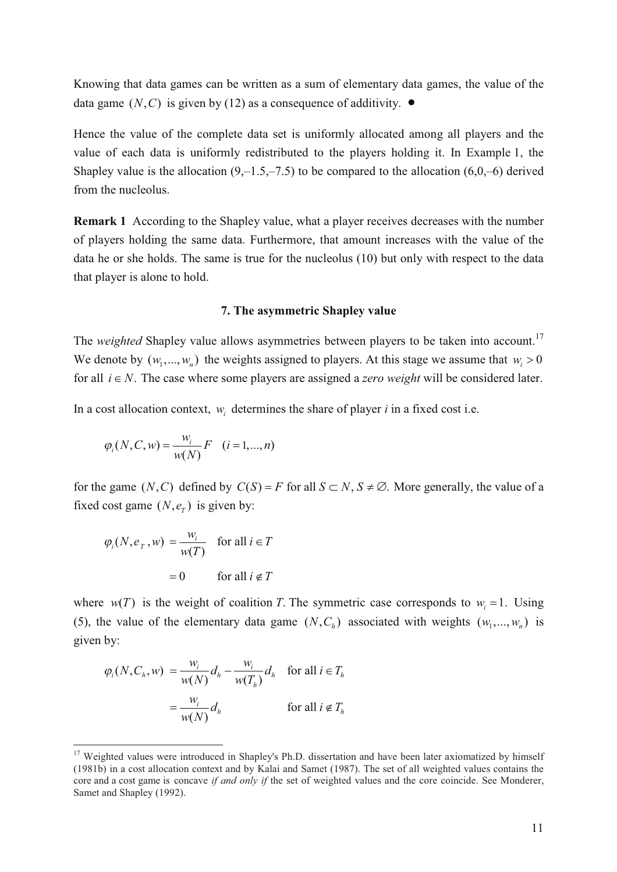Knowing that data games can be written as a sum of elementary data games, the value of the data game  $(N, C)$  is given by (12) as a consequence of additivity.  $\bullet$ 

Hence the value of the complete data set is uniformly allocated among all players and the value of each data is uniformly redistributed to the players holding it. In Example 1, the Shapley value is the allocation  $(9,-1.5,-7.5)$  to be compared to the allocation  $(6,0,-6)$  derived from the nucleolus.

**Remark 1** According to the Shapley value, what a player receives decreases with the number of players holding the same data. Furthermore, that amount increases with the value of the data he or she holds. The same is true for the nucleolus (10) but only with respect to the data that player is alone to hold.

#### **7. The asymmetric Shapley value**

The *weighted* Shapley value allows asymmetries between players to be taken into account. 17 We denote by  $(w_1, ..., w_n)$  the weights assigned to players. At this stage we assume that  $w_i > 0$ for all  $i \in N$ . The case where some players are assigned a *zero weight* will be considered later.

In a cost allocation context,  $w_i$  determines the share of player *i* in a fixed cost i.e.

$$
\varphi_i(N, C, w) = \frac{w_i}{w(N)} F
$$
  $(i = 1, ..., n)$ 

for the game  $(N, C)$  defined by  $C(S) = F$  for all  $S \subset N$ ,  $S \neq \emptyset$ . More generally, the value of a fixed cost game  $(N, e_T)$  is given by:

$$
\varphi_i(N, e_T, w) = \frac{w_i}{w(T)} \quad \text{for all } i \in T
$$

$$
= 0 \qquad \text{for all } i \notin T
$$

where  $w(T)$  is the weight of coalition *T*. The symmetric case corresponds to  $w_i = 1$ . Using (5), the value of the elementary data game  $(N, C_h)$  associated with weights  $(w_1, ..., w_n)$  is given by:

$$
\varphi_i(N, C_h, w) = \frac{w_i}{w(N)} d_h - \frac{w_i}{w(T_h)} d_h \quad \text{for all } i \in T_h
$$

$$
= \frac{w_i}{w(N)} d_h \quad \text{for all } i \notin T_h
$$

<sup>&</sup>lt;sup>17</sup> Weighted values were introduced in Shapley's Ph.D. dissertation and have been later axiomatized by himself (1981b) in a cost allocation context and by Kalai and Samet (1987). The set of all weighted values contains the core and a cost game is concave *if and only if* the set of weighted values and the core coincide. See Monderer, Samet and Shapley (1992).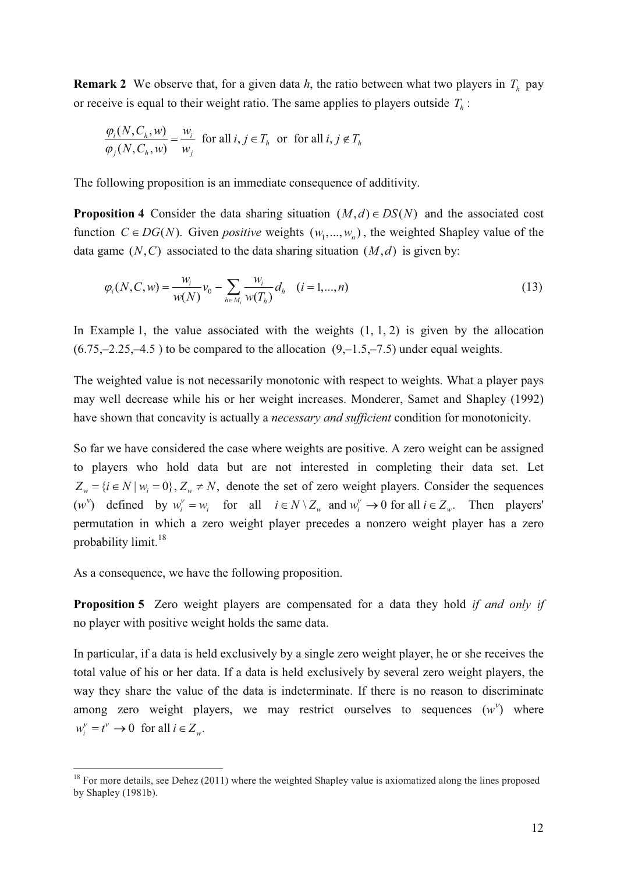**Remark 2** We observe that, for a given data *h*, the ratio between what two players in *T<sup>h</sup>* pay or receive is equal to their weight ratio. The same applies to players outside  $T_h$ :

$$
\frac{\varphi_i(N, C_h, w)}{\varphi_j(N, C_h, w)} = \frac{w_i}{w_j} \text{ for all } i, j \in T_h \text{ or for all } i, j \notin T_h
$$

The following proposition is an immediate consequence of additivity.

**Proposition 4** Consider the data sharing situation  $(M,d) \in DS(N)$  and the associated cost function  $C \in DG(N)$ . Given *positive* weights  $(w_1, ..., w_n)$ , the weighted Shapley value of the data game  $(N, C)$  associated to the data sharing situation  $(M, d)$  is given by:

$$
\varphi_i(N, C, w) = \frac{w_i}{w(N)} v_0 - \sum_{h \in M_i} \frac{w_i}{w(T_h)} d_h \quad (i = 1, ..., n)
$$
\n(13)

In Example 1, the value associated with the weights  $(1, 1, 2)$  is given by the allocation  $(6.75,-2.25,-4.5)$  to be compared to the allocation  $(9,-1.5,-7.5)$  under equal weights.

The weighted value is not necessarily monotonic with respect to weights. What a player pays may well decrease while his or her weight increases. Monderer, Samet and Shapley (1992) have shown that concavity is actually a *necessary and sufficient* condition for monotonicity.

So far we have considered the case where weights are positive. A zero weight can be assigned to players who hold data but are not interested in completing their data set. Let  $Z_w = \{ i \in N \mid w_i = 0 \}, Z_w \neq N$ , denote the set of zero weight players. Consider the sequences  $(w^{\vee})$  defined by  $w_i^{\vee} = w_i$  for all  $i \in N \setminus Z_w$  and  $w_i^{\vee} \to 0$  for all  $i \in Z_w$ . Then players' permutation in which a zero weight player precedes a nonzero weight player has a zero probability limit. 18

As a consequence, we have the following proposition.

**Proposition 5** Zero weight players are compensated for a data they hold *if and only if* no player with positive weight holds the same data.

In particular, if a data is held exclusively by a single zero weight player, he or she receives the total value of his or her data. If a data is held exclusively by several zero weight players, the way they share the value of the data is indeterminate. If there is no reason to discriminate among zero weight players, we may restrict ourselves to sequences  $(w<sup>v</sup>)$  where  $w_i^v = t^v \to 0$  for all  $i \in Z_w$ .

<sup>&</sup>lt;sup>18</sup> For more details, see Dehez (2011) where the weighted Shapley value is axiomatized along the lines proposed by Shapley (1981b).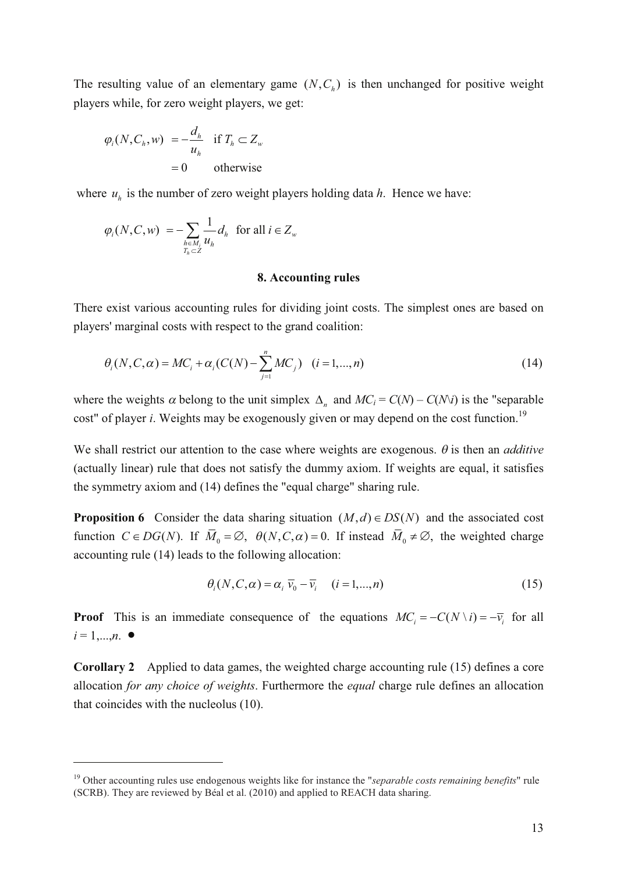The resulting value of an elementary game  $(N, C_h)$  is then unchanged for positive weight players while, for zero weight players, we get:

$$
\varphi_i(N, C_h, w) = -\frac{d_h}{u_h} \quad \text{if } T_h \subset Z_w
$$

$$
= 0 \qquad \text{otherwise}
$$

where  $u_h$  is the number of zero weight players holding data  $h$ . Hence we have:

$$
\varphi_i(N, C, w) = -\sum_{h \in M_i \atop T_h \subset Z} \frac{1}{u_h} d_h \text{ for all } i \in Z_w
$$

#### **8. Accounting rules**

There exist various accounting rules for dividing joint costs. The simplest ones are based on players' marginal costs with respect to the grand coalition:

$$
\theta_i(N, C, \alpha) = MC_i + \alpha_i (C(N) - \sum_{j=1}^n MC_j) \quad (i = 1, ..., n)
$$
\n(14)

where the weights  $\alpha$  belong to the unit simplex  $\Delta_n$  and  $MC_i = C(N) - C(N\lambda i)$  is the "separable" cost" of player *i*. Weights may be exogenously given or may depend on the cost function. 19

We shall restrict our attention to the case where weights are exogenous.  $\theta$  is then an *additive* (actually linear) rule that does not satisfy the dummy axiom. If weights are equal, it satisfies the symmetry axiom and (14) defines the "equal charge" sharing rule.

**Proposition 6** Consider the data sharing situation  $(M,d) \in DS(N)$  and the associated cost function  $C \in DG(N)$ . If  $\overline{M}_0 = \emptyset$ ,  $\theta(N, C, \alpha) = 0$ . If instead  $\overline{M}_0 \neq \emptyset$ , the weighted charge accounting rule (14) leads to the following allocation:

$$
\theta_i(N, C, \alpha) = \alpha_i \overline{v}_0 - \overline{v}_i \quad (i = 1, \dots, n)
$$
\n(15)

**Proof** This is an immediate consequence of the equations  $MC_i = -C(N \setminus i) = -\overline{v_i}$  for all  $i = 1,...,n$ .  $\bullet$ 

**Corollary 2** Applied to data games, the weighted charge accounting rule (15) defines a core allocation *for any choice of weights*. Furthermore the *equal* charge rule defines an allocation that coincides with the nucleolus (10).

<sup>19</sup> Other accounting rules use endogenous weights like for instance the "*separable costs remaining benefits*" rule (SCRB). They are reviewed by Béal et al. (2010) and applied to REACH data sharing.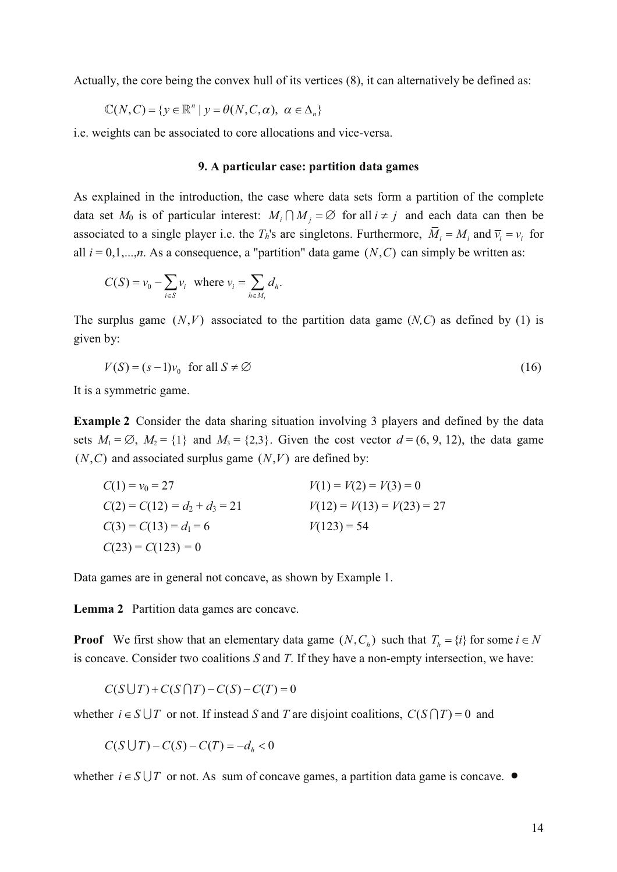Actually, the core being the convex hull of its vertices (8), it can alternatively be defined as:

$$
\mathbb{C}(N, C) = \{ y \in \mathbb{R}^n \mid y = \theta(N, C, \alpha), \ \alpha \in \Delta_n \}
$$

i.e. weights can be associated to core allocations and vice-versa.

#### **9. A particular case: partition data games**

As explained in the introduction, the case where data sets form a partition of the complete data set  $M_0$  is of particular interest:  $M_i \bigcap M_j = \emptyset$  for all  $i \neq j$  and each data can then be associated to a single player i.e. the  $T_h$ 's are singletons. Furthermore,  $\overline{M}_i = M_i$  and  $\overline{v}_i = v_i$  for all  $i = 0,1,...,n$ . As a consequence, a "partition" data game  $(N, C)$  can simply be written as:

$$
C(S) = v_0 - \sum_{i \in S} v_i \text{ where } v_i = \sum_{h \in M_i} d_h.
$$

The surplus game  $(N, V)$  associated to the partition data game  $(N, C)$  as defined by (1) is given by:

$$
V(S) = (s-1)v_0 \text{ for all } S \neq \emptyset
$$
 (16)

It is a symmetric game.

**Example 2** Consider the data sharing situation involving 3 players and defined by the data sets  $M_1 = \emptyset$ ,  $M_2 = \{1\}$  and  $M_3 = \{2,3\}$ . Given the cost vector  $d = (6, 9, 12)$ , the data game  $(N, C)$  and associated surplus game  $(N, V)$  are defined by:

$$
C(1) = v_0 = 27
$$
  
\n
$$
C(2) = C(12) = d_2 + d_3 = 21
$$
  
\n
$$
C(3) = C(13) = d_1 = 6
$$
  
\n
$$
C(23) = C(123) = 0
$$
  
\n
$$
V(1) = V(2) = V(3) = 0
$$
  
\n
$$
V(12) = V(13) = V(23) = 27
$$
  
\n
$$
V(123) = 54
$$

Data games are in general not concave, as shown by Example 1.

**Lemma 2** Partition data games are concave.

**Proof** We first show that an elementary data game  $(N, C_h)$  such that  $T_h = \{i\}$  for some  $i \in N$ is concave. Consider two coalitions *S* and *T*. If they have a non-empty intersection, we have:

$$
C(S \cup T) + C(S \cap T) - C(S) - C(T) = 0
$$

whether  $i \in S \cup T$  or not. If instead *S* and *T* are disjoint coalitions,  $C(S \cap T) = 0$  and

$$
C(S \cup T) - C(S) - C(T) = -d_h < 0
$$

whether  $i \in S \cup T$  or not. As sum of concave games, a partition data game is concave.  $\bullet$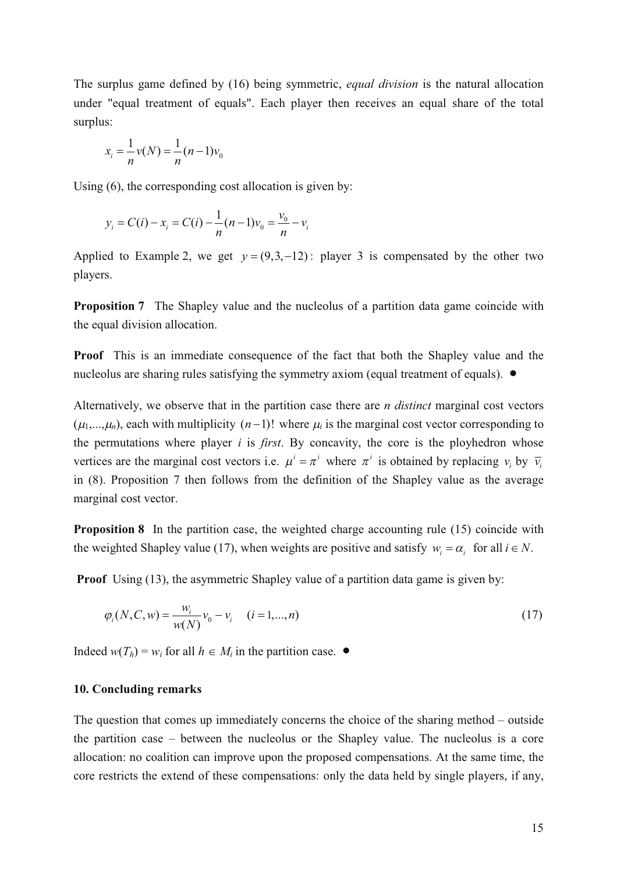The surplus game defined by (16) being symmetric, *equal division* is the natural allocation under "equal treatment of equals". Each player then receives an equal share of the total surplus:

$$
x_i = \frac{1}{n} \nu(N) = \frac{1}{n} (n-1) \nu_0
$$

Using (6), the corresponding cost allocation is given by:

$$
y_i = C(i) - x_i = C(i) - \frac{1}{n}(n-1)v_0 = \frac{v_0}{n} - v_i
$$

Applied to Example 2, we get  $y = (9,3,-12)$ : player 3 is compensated by the other two players.

**Proposition** 7 The Shapley value and the nucleolus of a partition data game coincide with the equal division allocation.

**Proof** This is an immediate consequence of the fact that both the Shapley value and the nucleolus are sharing rules satisfying the symmetry axiom (equal treatment of equals).  $\bullet$ 

Alternatively, we observe that in the partition case there are *n distinct* marginal cost vectors  $(\mu_1,...,\mu_n)$ , each with multiplicity  $(n-1)!$  where  $\mu_i$  is the marginal cost vector corresponding to the permutations where player *i* is *first*. By concavity, the core is the ployhedron whose vertices are the marginal cost vectors i.e.  $\mu^i = \pi^i$  where  $\pi^i$  is obtained by replacing  $v_i$  by  $\bar{v}_i$ in (8). Proposition 7 then follows from the definition of the Shapley value as the average marginal cost vector.

**Proposition 8** In the partition case, the weighted charge accounting rule (15) coincide with the weighted Shapley value (17), when weights are positive and satisfy  $w_i = \alpha_i$  for all  $i \in N$ .

**Proof** Using (13), the asymmetric Shapley value of a partition data game is given by:

$$
\varphi_i(N, C, w) = \frac{w_i}{w(N)} v_0 - v_i \quad (i = 1, ..., n)
$$
\n(17)

Indeed  $w(T_h) = w_i$  for all  $h \in M_i$  in the partition case.  $\bullet$ 

#### **10. Concluding remarks**

The question that comes up immediately concerns the choice of the sharing method – outside the partition case – between the nucleolus or the Shapley value. The nucleolus is a core allocation: no coalition can improve upon the proposed compensations. At the same time, the core restricts the extend of these compensations: only the data held by single players, if any,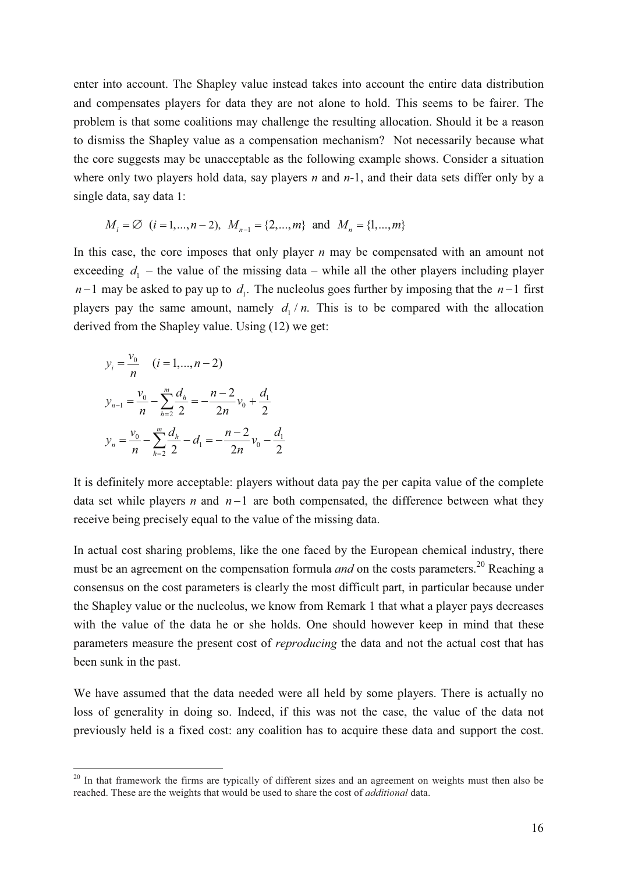enter into account. The Shapley value instead takes into account the entire data distribution and compensates players for data they are not alone to hold. This seems to be fairer. The problem is that some coalitions may challenge the resulting allocation. Should it be a reason to dismiss the Shapley value as a compensation mechanism? Not necessarily because what the core suggests may be unacceptable as the following example shows. Consider a situation where only two players hold data, say players *n* and *n*-1, and their data sets differ only by a single data, say data 1:

$$
M_i = \emptyset
$$
  $(i = 1,...,n-2), M_{n-1} = \{2,...,m\}$  and  $M_n = \{1,...,m\}$ 

In this case, the core imposes that only player *n* may be compensated with an amount not exceeding  $d_1$  – the value of the missing data – while all the other players including player  $n-1$  may be asked to pay up to  $d_1$ . The nucleolus goes further by imposing that the  $n-1$  first players pay the same amount, namely  $d_1/n$ . This is to be compared with the allocation derived from the Shapley value. Using (12) we get:

$$
y_i = \frac{v_0}{n} \quad (i = 1, ..., n - 2)
$$
  
\n
$$
y_{n-1} = \frac{v_0}{n} - \sum_{h=2}^{m} \frac{d_h}{2} = -\frac{n-2}{2n}v_0 + \frac{d_1}{2}
$$
  
\n
$$
y_n = \frac{v_0}{n} - \sum_{h=2}^{m} \frac{d_h}{2} - d_1 = -\frac{n-2}{2n}v_0 - \frac{d_1}{2}
$$

It is definitely more acceptable: players without data pay the per capita value of the complete data set while players *n* and  $n-1$  are both compensated, the difference between what they receive being precisely equal to the value of the missing data.

In actual cost sharing problems, like the one faced by the European chemical industry, there must be an agreement on the compensation formula *and* on the costs parameters.<sup>20</sup> Reaching a consensus on the cost parameters is clearly the most difficult part, in particular because under the Shapley value or the nucleolus, we know from Remark 1 that what a player pays decreases with the value of the data he or she holds. One should however keep in mind that these parameters measure the present cost of *reproducing* the data and not the actual cost that has been sunk in the past.

We have assumed that the data needed were all held by some players. There is actually no loss of generality in doing so. Indeed, if this was not the case, the value of the data not previously held is a fixed cost: any coalition has to acquire these data and support the cost.

<sup>&</sup>lt;sup>20</sup> In that framework the firms are typically of different sizes and an agreement on weights must then also be reached. These are the weights that would be used to share the cost of *additional* data.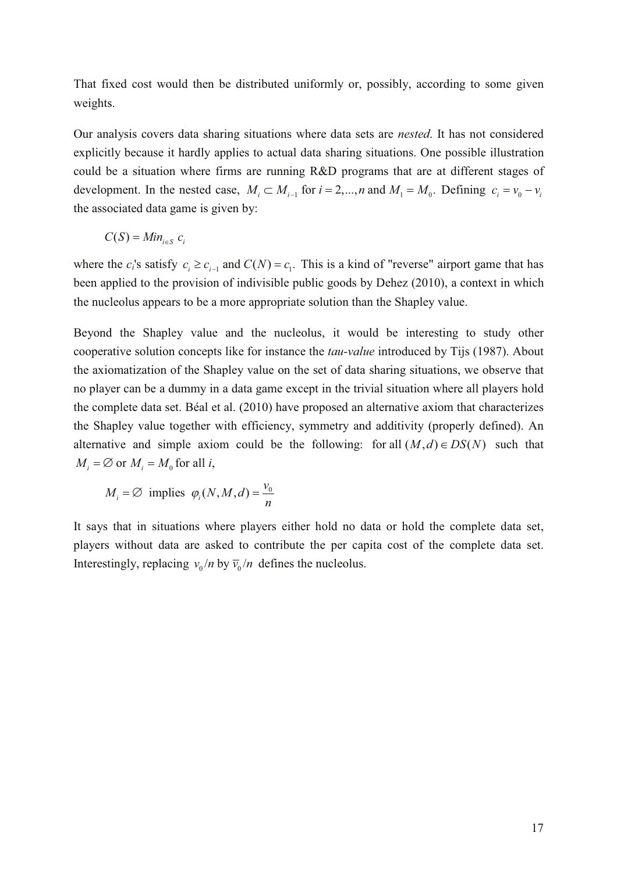That fixed cost would then be distributed uniformly or, possibly, according to some given weights.

Our analysis covers data sharing situations where data sets are *nested*. It has not considered explicitly because it hardly applies to actual data sharing situations. One possible illustration could be a situation where firms are running R&D programs that are at different stages of development. In the nested case,  $M_i \subset M_{i-1}$  for  $i = 2,...,n$  and  $M_1 = M_0$ . Defining  $c_i = v_0 - v_i$ the associated data game is given by:

$$
C(S) = Min_{i \in S} c_i
$$

where the  $c_i$ 's satisfy  $c_i \ge c_{i-1}$  and  $C(N) = c_1$ . This is a kind of "reverse" airport game that has been applied to the provision of indivisible public goods by Dehez (2010), a context in which the nucleolus appears to be a more appropriate solution than the Shapley value.

Beyond the Shapley value and the nucleolus, it would be interesting to study other cooperative solution concepts like for instance the *tau-value* introduced by Tijs (1987). About the axiomatization of the Shapley value on the set of data sharing situations, we observe that no player can be a dummy in a data game except in the trivial situation where all players hold the complete data set. Béal et al. (2010) have proposed an alternative axiom that characterizes the Shapley value together with efficiency, symmetry and additivity (properly defined). An alternative and simple axiom could be the following: for all  $(M, d) \in DS(N)$  such that  $M_i = \emptyset$  or  $M_i = M_0$  for all *i*,

$$
M_i = \varnothing
$$
 implies  $\varphi_i(N, M, d) = \frac{v_0}{n}$ 

It says that in situations where players either hold no data or hold the complete data set, players without data are asked to contribute the per capita cost of the complete data set. Interestingly, replacing  $v_0/n$  by  $\overline{v}_0/n$  defines the nucleolus.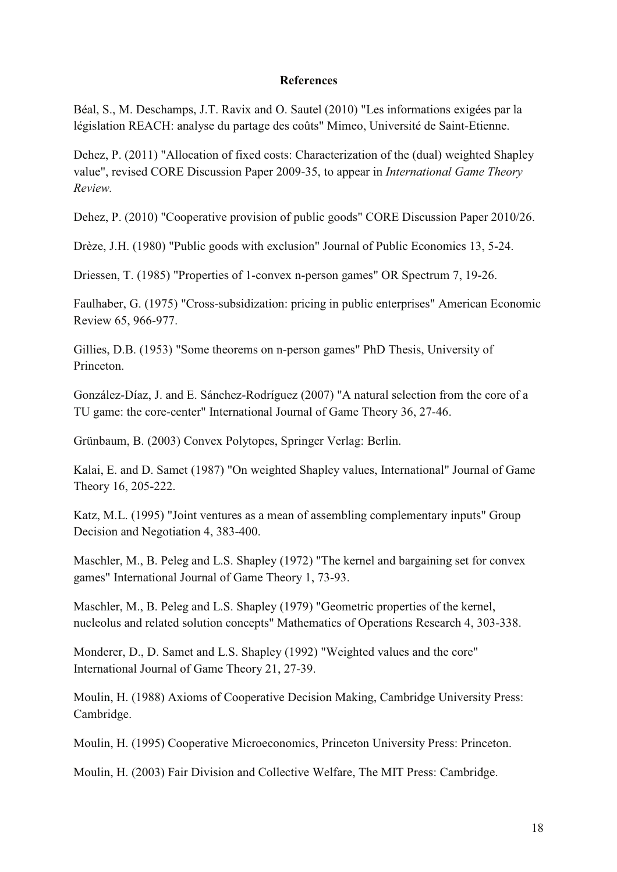#### **References**

Béal, S., M. Deschamps, J.T. Ravix and O. Sautel (2010) "Les informations exigées par la législation REACH: analyse du partage des coûts" Mimeo, Université de Saint-Etienne.

Dehez, P. (2011) "Allocation of fixed costs: Characterization of the (dual) weighted Shapley value", revised CORE Discussion Paper 2009-35, to appear in *International Game Theory Review.*

Dehez, P. (2010) "Cooperative provision of public goods" CORE Discussion Paper 2010/26.

Drèze, J.H. (1980) "Public goods with exclusion" Journal of Public Economics 13, 5-24.

Driessen, T. (1985) "Properties of 1-convex n-person games" OR Spectrum 7, 19-26.

Faulhaber, G. (1975) "Cross-subsidization: pricing in public enterprises" American Economic Review 65, 966-977.

Gillies, D.B. (1953) "Some theorems on n-person games" PhD Thesis, University of Princeton.

González-Díaz, J. and E. Sánchez-Rodríguez (2007) "A natural selection from the core of a TU game: the core-center" International Journal of Game Theory 36, 27-46.

Grünbaum, B. (2003) Convex Polytopes, Springer Verlag: Berlin.

Kalai, E. and D. Samet (1987) "On weighted Shapley values, International" Journal of Game Theory 16, 205-222.

Katz, M.L. (1995) "Joint ventures as a mean of assembling complementary inputs" Group Decision and Negotiation 4, 383-400.

Maschler, M., B. Peleg and L.S. Shapley (1972) "The kernel and bargaining set for convex games" International Journal of Game Theory 1, 73-93.

Maschler, M., B. Peleg and L.S. Shapley (1979) "Geometric properties of the kernel, nucleolus and related solution concepts" Mathematics of Operations Research 4, 303-338.

Monderer, D., D. Samet and L.S. Shapley (1992) "Weighted values and the core" International Journal of Game Theory 21, 27-39.

Moulin, H. (1988) Axioms of Cooperative Decision Making, Cambridge University Press: Cambridge.

Moulin, H. (1995) Cooperative Microeconomics, Princeton University Press: Princeton.

Moulin, H. (2003) Fair Division and Collective Welfare, The MIT Press: Cambridge.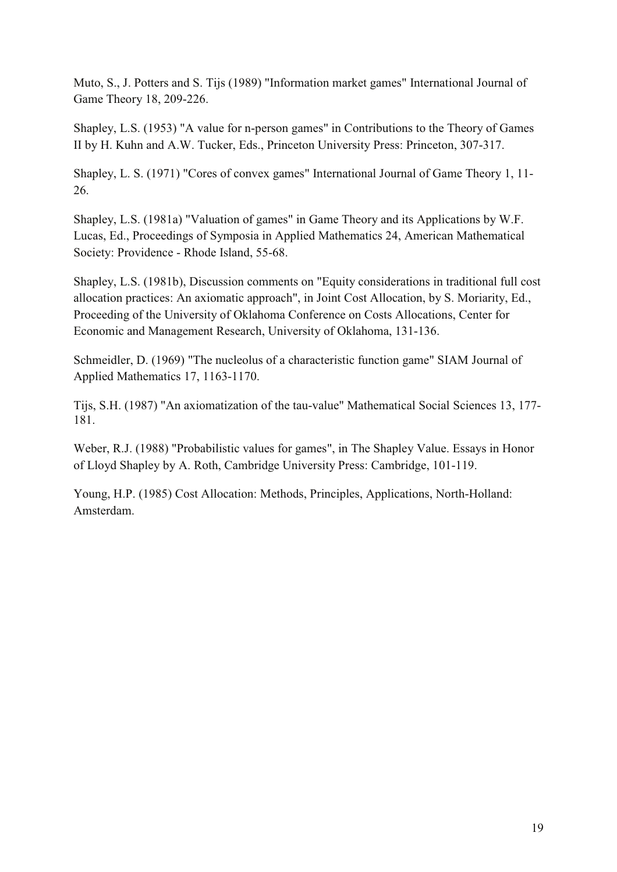Muto, S., J. Potters and S. Tijs (1989) "Information market games" International Journal of Game Theory 18, 209-226.

Shapley, L.S. (1953) "A value for n-person games" in Contributions to the Theory of Games II by H. Kuhn and A.W. Tucker, Eds., Princeton University Press: Princeton, 307-317.

Shapley, L. S. (1971) "Cores of convex games" International Journal of Game Theory 1, 11- 26.

Shapley, L.S. (1981a) "Valuation of games" in Game Theory and its Applications by W.F. Lucas, Ed., Proceedings of Symposia in Applied Mathematics 24, American Mathematical Society: Providence - Rhode Island, 55-68.

Shapley, L.S. (1981b), Discussion comments on "Equity considerations in traditional full cost allocation practices: An axiomatic approach", in Joint Cost Allocation, by S. Moriarity, Ed., Proceeding of the University of Oklahoma Conference on Costs Allocations, Center for Economic and Management Research, University of Oklahoma, 131-136.

Schmeidler, D. (1969) "The nucleolus of a characteristic function game" SIAM Journal of Applied Mathematics 17, 1163-1170.

Tijs, S.H. (1987) "An axiomatization of the tau-value" Mathematical Social Sciences 13, 177- 181.

Weber, R.J. (1988) "Probabilistic values for games", in The Shapley Value. Essays in Honor of Lloyd Shapley by A. Roth, Cambridge University Press: Cambridge, 101-119.

Young, H.P. (1985) Cost Allocation: Methods, Principles, Applications, North-Holland: Amsterdam.